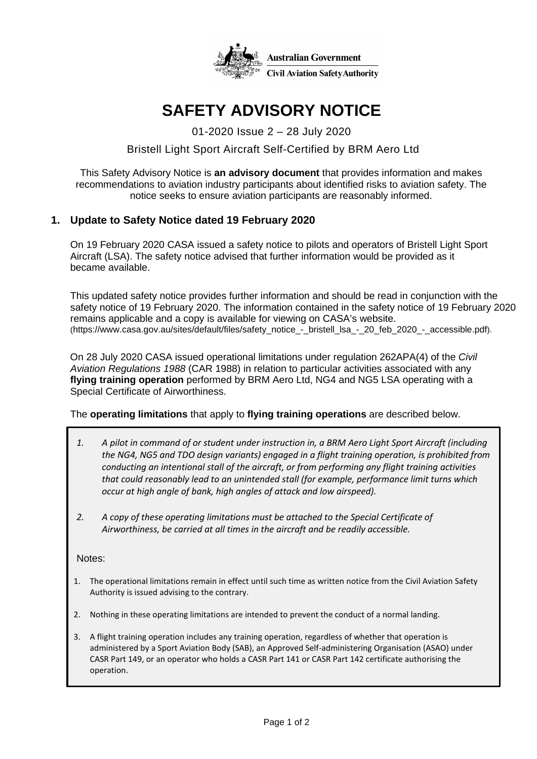

# **SAFETY ADVISORY NOTICE**

01-2020 Issue 2 – 28 July 2020

# Bristell Light Sport Aircraft Self-Certified by BRM Aero Ltd

This Safety Advisory Notice is **an advisory document** that provides information and makes recommendations to aviation industry participants about identified risks to aviation safety. The notice seeks to ensure aviation participants are reasonably informed.

## **1. Update to Safety Notice dated 19 February 2020**

On 19 February 2020 CASA issued a safety notice to pilots and operators of Bristell Light Sport Aircraft (LSA). The safety notice advised that further information would be provided as it became available.

This updated safety notice provides further information and should be read in conjunction with the safety notice of 19 February 2020. The information contained in the safety notice of 19 February 2020 remains applicable and a copy is available for viewing on CASA's website. (https://www.casa.gov.au/sites/default/files/safety\_notice\_-\_bristell\_lsa\_-\_20\_feb\_2020\_-\_accessible.pdf).

On 28 July 2020 CASA issued operational limitations under regulation 262APA(4) of the *Civil Aviation Regulations 1988* (CAR 1988) in relation to particular activities associated with any **flying training operation** performed by BRM Aero Ltd, NG4 and NG5 LSA operating with a Special Certificate of Airworthiness.

#### The **operating limitations** that apply to **flying training operations** are described below.

- *1. A pilot in command of or student under instruction in, a BRM Aero Light Sport Aircraft (including the NG4, NG5 and TDO design variants) engaged in a flight training operation, is prohibited from conducting an intentional stall of the aircraft, or from performing any flight training activities that could reasonably lead to an unintended stall (for example, performance limit turns which occur at high angle of bank, high angles of attack and low airspeed).*
- *2. A copy of these operating limitations must be attached to the Special Certificate of Airworthiness, be carried at all times in the aircraft and be readily accessible.*

Notes:

- 1. The operational limitations remain in effect until such time as written notice from the Civil Aviation Safety Authority is issued advising to the contrary.
- 2. Nothing in these operating limitations are intended to prevent the conduct of a normal landing.
- 3. A flight training operation includes any training operation, regardless of whether that operation is administered by a Sport Aviation Body (SAB), an Approved Self-administering Organisation (ASAO) under CASR Part 149, or an operator who holds a CASR Part 141 or CASR Part 142 certificate authorising the operation.